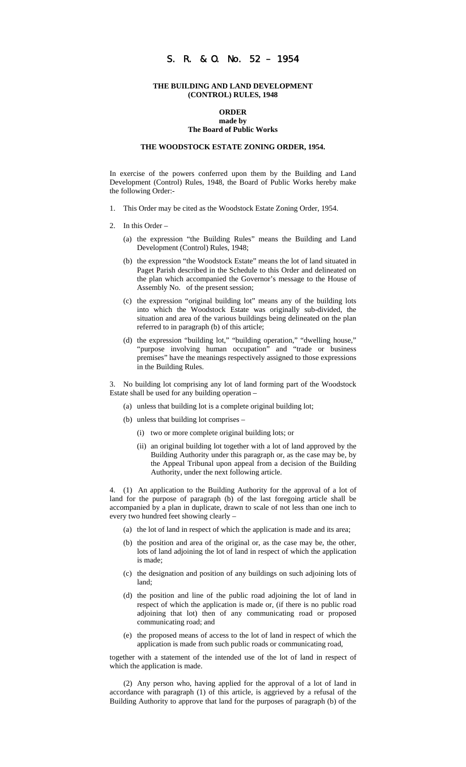# S. R. & O. No. 52 – 1954

#### **THE BUILDING AND LAND DEVELOPMENT (CONTROL) RULES, 1948**

#### **ORDER made by The Board of Public Works**

# **THE WOODSTOCK ESTATE ZONING ORDER, 1954.**

In exercise of the powers conferred upon them by the Building and Land Development (Control) Rules, 1948, the Board of Public Works hereby make the following Order:-

- 1. This Order may be cited as the Woodstock Estate Zoning Order, 1954.
- 2. In this Order
	- (a) the expression "the Building Rules" means the Building and Land Development (Control) Rules, 1948;
	- (b) the expression "the Woodstock Estate" means the lot of land situated in Paget Parish described in the Schedule to this Order and delineated on the plan which accompanied the Governor's message to the House of Assembly No. of the present session;
	- (c) the expression "original building lot" means any of the building lots into which the Woodstock Estate was originally sub-divided, the situation and area of the various buildings being delineated on the plan referred to in paragraph (b) of this article;
	- (d) the expression "building lot," "building operation," "dwelling house," "purpose involving human occupation" and "trade or business premises" have the meanings respectively assigned to those expressions in the Building Rules.

3. No building lot comprising any lot of land forming part of the Woodstock Estate shall be used for any building operation –

- (a) unless that building lot is a complete original building lot;
- (b) unless that building lot comprises
	- (i) two or more complete original building lots; or
	- (ii) an original building lot together with a lot of land approved by the Building Authority under this paragraph or, as the case may be, by the Appeal Tribunal upon appeal from a decision of the Building Authority, under the next following article.

4. (1) An application to the Building Authority for the approval of a lot of land for the purpose of paragraph (b) of the last foregoing article shall be accompanied by a plan in duplicate, drawn to scale of not less than one inch to every two hundred feet showing clearly –

- (a) the lot of land in respect of which the application is made and its area;
- (b) the position and area of the original or, as the case may be, the other, lots of land adjoining the lot of land in respect of which the application is made;
- (c) the designation and position of any buildings on such adjoining lots of land;
- (d) the position and line of the public road adjoining the lot of land in respect of which the application is made or, (if there is no public road adjoining that lot) then of any communicating road or proposed communicating road; and
- (e) the proposed means of access to the lot of land in respect of which the application is made from such public roads or communicating road,

together with a statement of the intended use of the lot of land in respect of which the application is made.

(2) Any person who, having applied for the approval of a lot of land in accordance with paragraph (1) of this article, is aggrieved by a refusal of the Building Authority to approve that land for the purposes of paragraph (b) of the